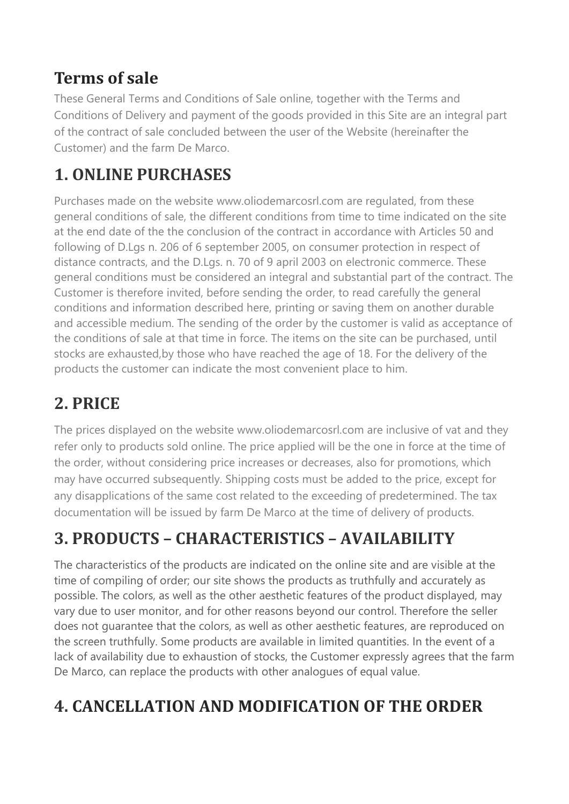#### **Terms of sale**

[These General Terms and Conditions of Sale online, together with the Terms and](https://www.reverso.net/translationresults.aspx?lang=IT&sourcetext=Le%20presenti%20Condizioni%20generali%20di%20vendita%20on-line,%20unitamente%20alle%20Condizioni%20di%20consegna%20e%20pagamento%20dei%20beni%20previste%20nel%20presente%20Sito%20costituiscono%20parte%20integrante%20del%20contratto%20di%20compravendita%20concluso%20tra%20l%E2%80%99utente%20del%20Sito%20(di%20seguito%20il%20Cliente)%20e%20l%E2%80%99Azienda%20Agricola%20De%20Marco.&action_form=translate&direction_translation=ita-eng-7)  [Conditions of Delivery and](https://www.reverso.net/translationresults.aspx?lang=IT&sourcetext=Le%20presenti%20Condizioni%20generali%20di%20vendita%20on-line,%20unitamente%20alle%20Condizioni%20di%20consegna%20e%20pagamento%20dei%20beni%20previste%20nel%20presente%20Sito%20costituiscono%20parte%20integrante%20del%20contratto%20di%20compravendita%20concluso%20tra%20l%E2%80%99utente%20del%20Sito%20(di%20seguito%20il%20Cliente)%20e%20l%E2%80%99Azienda%20Agricola%20De%20Marco.&action_form=translate&direction_translation=ita-eng-7) [payment of the goods provided in this Site are an integral part](https://www.reverso.net/translationresults.aspx?lang=IT&sourcetext=pagamento%20dei%20beni%20previste%20nel%20presente%20Sito%20costituiscono%20parte%20integrante%20del%20contratto%20di%20compravendita%20concluso%20tra%20l%E2%80%99utente%20del%20Sito&action_form=translate&direction_translation=ita-eng-7)  [of the](https://www.reverso.net/translationresults.aspx?lang=IT&sourcetext=pagamento%20dei%20beni%20previste%20nel%20presente%20Sito%20costituiscono%20parte%20integrante%20del%20contratto%20di%20compravendita%20concluso%20tra%20l%E2%80%99utente%20del%20Sito&action_form=translate&direction_translation=ita-eng-7) contract of sale concluded between the user of the Website (hereinafter the Customer) and the farm De Marco.

## **1. ONLINE PURCHASES**

Purchases made on the website [www.oliodemarcosrl.com](http://www.oliodemarcosrl.com/) are regulated, from these general conditions of sale, [the different conditions from time to time indicated on the site](https://www.reverso.net/translationresults.aspx?lang=IT&sourcetext=dalle%20diverse%20condizioni%20di%20volta%20in%20volta%20indicate%20nel%20sito%20alla%20data%20di%20conclusione%20del%20contratto%20conformemente%20agli%20articoli%2050%20e%20seguenti%20del&action_form=translate&direction_translation=ita-eng-7)  [at the end date of the](https://www.reverso.net/translationresults.aspx?lang=IT&sourcetext=dalle%20diverse%20condizioni%20di%20volta%20in%20volta%20indicate%20nel%20sito%20alla%20data%20di%20conclusione%20del%20contratto%20conformemente%20agli%20articoli%2050%20e%20seguenti%20del&action_form=translate&direction_translation=ita-eng-7) the conclusion of the contract in accordance with Articles 50 and following of D.Lgs n. 206 of 6 september 2005, on consumer protection in respect of distance contracts, and the D.Lgs. n. 70 of 9 april 2003 on electronic commerce. These general conditions must be considered an integral and substantial part of the contract. [The](https://www.reverso.net/translationresults.aspx?lang=IT&sourcetext=Si%20invita%20pertanto%20il%20Cliente,%20prima%20dell%E2%80%99invio%20dell%E2%80%99ordine,%20a%20leggere%20attentamente%20le%20condizioni%20generali%20e%20le%20informazioni%20qui%20descritte,&action_form=translate&direction_translation=ita-eng-7)  [Customer is therefore invited, before sending the order, to read carefully the](https://www.reverso.net/translationresults.aspx?lang=IT&sourcetext=Si%20invita%20pertanto%20il%20Cliente,%20prima%20dell%E2%80%99invio%20dell%E2%80%99ordine,%20a%20leggere%20attentamente%20le%20condizioni%20generali%20e%20le%20informazioni%20qui%20descritte,&action_form=translate&direction_translation=ita-eng-7) general conditions and information described here, printing or saving them on another durable and accessible medium. The sending of the order by the customer is valid as acceptance of the conditions of sale at that time in force. The items on the site can be purchased, until stocks are exhausted,by those who have reached the age of 18. For the delivery of the products the customer can indicate the most convenient place to him.

# **2. PRICE**

The prices displayed on the website www.oliodemarcosrl.com are inclusive of vat and they refer only to products sold online. The price applied will be the one in force at the time of the order, without considering price increases or decreases, also for promotions, which may have occurred subsequently. Shipping costs must be added to the price, [except for](https://www.reverso.net/translationresults.aspx?lang=IT&sourcetext=salvo%20eventuali%20disapplicazioni%20del%20medesimo%20costo%20relativo%20al%20superamento%20di%20predeterminati%20ordinativi%20di%20acquisto&action_form=translate&direction_translation=ita-eng-7)  [any disapplications of the same cost related to the exceeding of predetermined.](https://www.reverso.net/translationresults.aspx?lang=IT&sourcetext=salvo%20eventuali%20disapplicazioni%20del%20medesimo%20costo%20relativo%20al%20superamento%20di%20predeterminati%20ordinativi%20di%20acquisto&action_form=translate&direction_translation=ita-eng-7) [The tax](https://www.reverso.net/translationresults.aspx?lang=IT&sourcetext=La%20documentazione%20fiscale%20verr%C3%A0%20rilasciata%20dalla%20Azienda%20Agricola%20De%20Marco%20al%20momento%20della%20consegna%20dei%20prodotti&action_form=translate&direction_translation=ita-eng-7)  [documentation will be issued by farm De Marco at the time of](https://www.reverso.net/translationresults.aspx?lang=IT&sourcetext=La%20documentazione%20fiscale%20verr%C3%A0%20rilasciata%20dalla%20Azienda%20Agricola%20De%20Marco%20al%20momento%20della%20consegna%20dei%20prodotti&action_form=translate&direction_translation=ita-eng-7) delivery of products.

# **3. PRODUCTS – CHARACTERISTICS – AVAILABILITY**

[The characteristics of the products are indicated on the online site and are visible at the](https://www.reverso.net/translationresults.aspx?lang=IT&sourcetext=Le%20caratteristiche%20dei%20prodotti%20sono%20indicate%20sul%20sito%20on%20line%20e%20sono%20visibili%20al%20momento%20della%20compilazione%20dell%E2%80%99ordine;%20il%20nostro%20sito%20mostra%20i%20prodotti%20nel%20modo%20pi%C3%B9%20veritiero%20ed%20accurato%20possibile.&action_form=translate&direction_translation=ita-eng-7)  [time of](https://www.reverso.net/translationresults.aspx?lang=IT&sourcetext=Le%20caratteristiche%20dei%20prodotti%20sono%20indicate%20sul%20sito%20on%20line%20e%20sono%20visibili%20al%20momento%20della%20compilazione%20dell%E2%80%99ordine;%20il%20nostro%20sito%20mostra%20i%20prodotti%20nel%20modo%20pi%C3%B9%20veritiero%20ed%20accurato%20possibile.&action_form=translate&direction_translation=ita-eng-7) compiling of order; our site shows the products as truthfully and accurately as possible. The colors, as well as the other aesthetic features of the product displayed, may vary due to user monitor, and for other reasons beyond our control. [Therefore the seller](https://www.reverso.net/translationresults.aspx?lang=IT&sourcetext=Pertanto%20il%20venditore%20non%20garantisce%20che%20i%20colori,%20cos%C3%AC%20come%20le%20altre%20caratteristiche%20estetiche%20visualizzate,&action_form=translate&direction_translation=ita-eng-7)  [does not guarantee that the colors, as well as other aesthetic features,](https://www.reverso.net/translationresults.aspx?lang=IT&sourcetext=Pertanto%20il%20venditore%20non%20garantisce%20che%20i%20colori,%20cos%C3%AC%20come%20le%20altre%20caratteristiche%20estetiche%20visualizzate,&action_form=translate&direction_translation=ita-eng-7) are reproduced on the screen truthfully. Some products are available in limited quantities. [In the event of a](https://www.reverso.net/translationresults.aspx?lang=IT&sourcetext=Nel%20caso%20di%20sopravvenuta%20mancanza%20di%20disponibilit%C3%A0%20a%20seguito%20di%20esaurimento%20scorte,%20il%20Cliente%20acconsente%20espressamente%20a%20che%20l%E2%80%99Azienda%20Agricola%20De%20Marco&action_form=translate&direction_translation=ita-eng-7)  [lack of availability due to exhaustion of stocks, the Customer](https://www.reverso.net/translationresults.aspx?lang=IT&sourcetext=Nel%20caso%20di%20sopravvenuta%20mancanza%20di%20disponibilit%C3%A0%20a%20seguito%20di%20esaurimento%20scorte,%20il%20Cliente%20acconsente%20espressamente%20a%20che%20l%E2%80%99Azienda%20Agricola%20De%20Marco&action_form=translate&direction_translation=ita-eng-7) [expressly agrees that the farm](https://www.reverso.net/translationresults.aspx?lang=IT&sourcetext=acconsente%20espressamente%20a%20che%20l%E2%80%99Azienda%20Agricola%20De%20Marco,%20possa%20sostituire%20i%20prodotti%20con%20altri%20analoghi%20di%20pari%20valore.&action_form=translate&direction_translation=ita-eng-7) [De Marco, can replace the products with](https://www.reverso.net/translationresults.aspx?lang=IT&sourcetext=acconsente%20espressamente%20a%20che%20l%E2%80%99Azienda%20Agricola%20De%20Marco,%20possa%20sostituire%20i%20prodotti%20con%20altri%20analoghi%20di%20pari%20valore.&action_form=translate&direction_translation=ita-eng-7) other analogues of equal value.

## **4. CANCELLATION AND MODIFICATION OF THE ORDER**